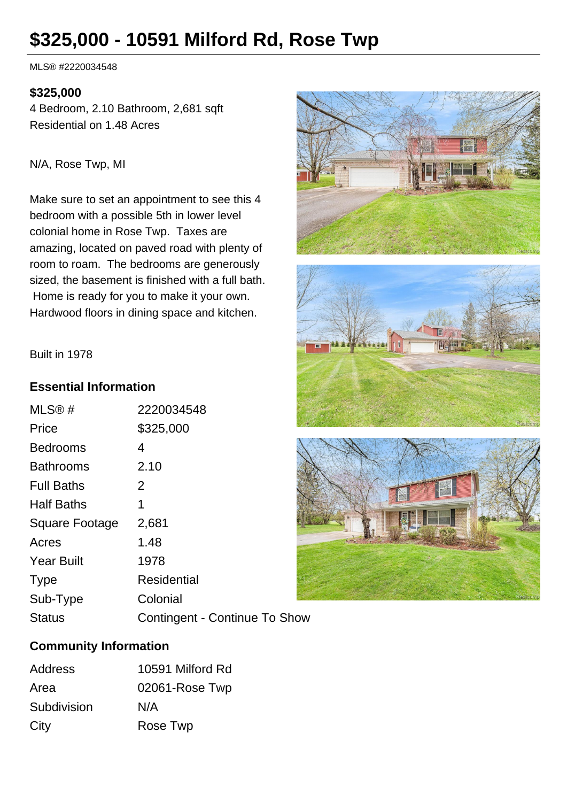# **\$325,000 - 10591 Milford Rd, Rose Twp**

MLS® #2220034548

### **\$325,000**

4 Bedroom, 2.10 Bathroom, 2,681 sqft Residential on 1.48 Acres

N/A, Rose Twp, MI

Make sure to set an appointment to see this 4 bedroom with a possible 5th in lower level colonial home in Rose Twp. Taxes are amazing, located on paved road with plenty of room to roam. The bedrooms are generously sized, the basement is finished with a full bath. Home is ready for you to make it your own. Hardwood floors in dining space and kitchen.







#### Built in 1978

#### **Essential Information**

| MLS@#             | 2220034548                    |
|-------------------|-------------------------------|
| Price             | \$325,000                     |
| <b>Bedrooms</b>   | 4                             |
| <b>Bathrooms</b>  | 2.10                          |
| <b>Full Baths</b> | 2                             |
| <b>Half Baths</b> | 1                             |
| Square Footage    | 2,681                         |
| Acres             | 1.48                          |
| <b>Year Built</b> | 1978                          |
| <b>Type</b>       | Residential                   |
| Sub-Type          | Colonial                      |
| <b>Status</b>     | Contingent - Continue To Show |

## **Community Information**

| Address     | 10591 Milford Rd |
|-------------|------------------|
| Area        | 02061-Rose Twp   |
| Subdivision | N/A              |
| City        | Rose Twp         |